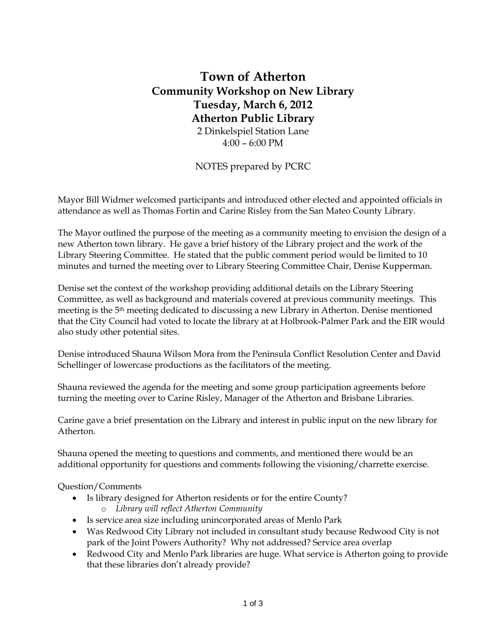# **Town of Atherton Community Workshop on New Library Tuesday, March 6, 2012 Atherton Public Library**  2 Dinkelspiel Station Lane

4:00 – 6:00 PM

NOTES prepared by PCRC

Mayor Bill Widmer welcomed participants and introduced other elected and appointed officials in attendance as well as Thomas Fortin and Carine Risley from the San Mateo County Library.

The Mayor outlined the purpose of the meeting as a community meeting to envision the design of a new Atherton town library. He gave a brief history of the Library project and the work of the Library Steering Committee. He stated that the public comment period would be limited to 10 minutes and turned the meeting over to Library Steering Committee Chair, Denise Kupperman.

Denise set the context of the workshop providing additional details on the Library Steering Committee, as well as background and materials covered at previous community meetings. This meeting is the 5th meeting dedicated to discussing a new Library in Atherton. Denise mentioned that the City Council had voted to locate the library at at Holbrook-Palmer Park and the EIR would also study other potential sites.

Denise introduced Shauna Wilson Mora from the Peninsula Conflict Resolution Center and David Schellinger of lowercase productions as the facilitators of the meeting.

Shauna reviewed the agenda for the meeting and some group participation agreements before turning the meeting over to Carine Risley, Manager of the Atherton and Brisbane Libraries.

Carine gave a brief presentation on the Library and interest in public input on the new library for Atherton.

Shauna opened the meeting to questions and comments, and mentioned there would be an additional opportunity for questions and comments following the visioning/charrette exercise.

#### Question/Comments

- Is library designed for Atherton residents or for the entire County?
	- o *Library will reflect Atherton Community*
- Is service area size including unincorporated areas of Menlo Park
- Was Redwood City Library not included in consultant study because Redwood City is not park of the Joint Powers Authority? Why not addressed? Service area overlap
- Redwood City and Menlo Park libraries are huge. What service is Atherton going to provide that these libraries don't already provide?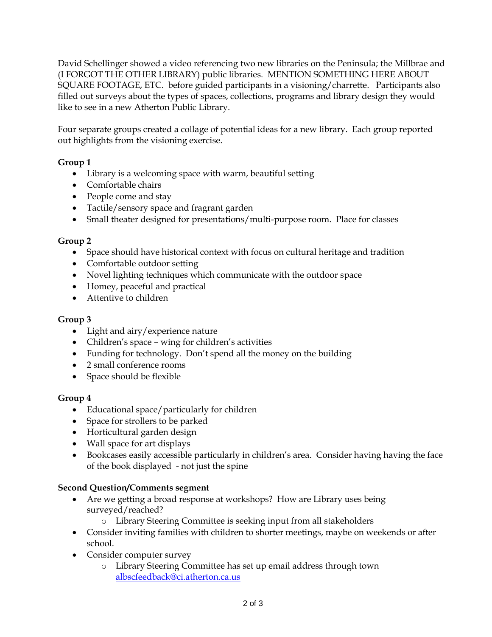David Schellinger showed a video referencing two new libraries on the Peninsula; the Millbrae and (I FORGOT THE OTHER LIBRARY) public libraries. MENTION SOMETHING HERE ABOUT SQUARE FOOTAGE, ETC. before guided participants in a visioning/charrette. Participants also filled out surveys about the types of spaces, collections, programs and library design they would like to see in a new Atherton Public Library.

Four separate groups created a collage of potential ideas for a new library. Each group reported out highlights from the visioning exercise.

## **Group 1**

- Library is a welcoming space with warm, beautiful setting
- Comfortable chairs
- People come and stay
- Tactile/sensory space and fragrant garden
- Small theater designed for presentations/multi-purpose room. Place for classes

## **Group 2**

- Space should have historical context with focus on cultural heritage and tradition
- Comfortable outdoor setting
- Novel lighting techniques which communicate with the outdoor space
- Homey, peaceful and practical
- Attentive to children

#### **Group 3**

- Light and airy/experience nature
- Children's space wing for children's activities
- Funding for technology. Don't spend all the money on the building
- 2 small conference rooms
- Space should be flexible

## **Group 4**

- Educational space/particularly for children
- Space for strollers to be parked
- Horticultural garden design
- Wall space for art displays
- Bookcases easily accessible particularly in children's area. Consider having having the face of the book displayed - not just the spine

## **Second Question/Comments segment**

- Are we getting a broad response at workshops? How are Library uses being surveyed/reached?
	- o Library Steering Committee is seeking input from all stakeholders
- Consider inviting families with children to shorter meetings, maybe on weekends or after school.
- Consider computer survey
	- o Library Steering Committee has set up email address through town [albscfeedback@ci.atherton.ca.us](mailto:albscfeedback@ci.atherton.ca.us)